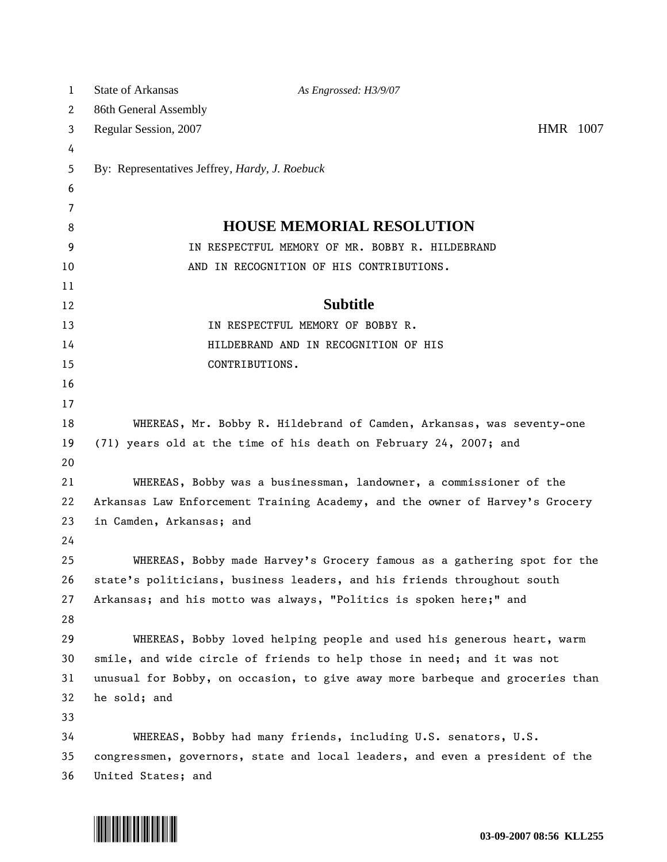| 1        | State of Arkansas                                                                                                                                        | As Engrossed: H3/9/07                                                   |          |
|----------|----------------------------------------------------------------------------------------------------------------------------------------------------------|-------------------------------------------------------------------------|----------|
| 2        | 86th General Assembly                                                                                                                                    |                                                                         |          |
| 3        | Regular Session, 2007                                                                                                                                    |                                                                         | HMR 1007 |
| 4        |                                                                                                                                                          |                                                                         |          |
| 5        | By: Representatives Jeffrey, <i>Hardy</i> , <i>J. Roebuck</i>                                                                                            |                                                                         |          |
| 6        |                                                                                                                                                          |                                                                         |          |
| 7        |                                                                                                                                                          |                                                                         |          |
| 8        |                                                                                                                                                          | <b>HOUSE MEMORIAL RESOLUTION</b>                                        |          |
| 9        |                                                                                                                                                          | IN RESPECTFUL MEMORY OF MR. BOBBY R. HILDEBRAND                         |          |
| 10       |                                                                                                                                                          | AND IN RECOGNITION OF HIS CONTRIBUTIONS.                                |          |
| 11       |                                                                                                                                                          |                                                                         |          |
| 12       |                                                                                                                                                          | <b>Subtitle</b>                                                         |          |
| 13       |                                                                                                                                                          | IN RESPECTFUL MEMORY OF BOBBY R.                                        |          |
| 14       |                                                                                                                                                          | HILDEBRAND AND IN RECOGNITION OF HIS                                    |          |
| 15       | CONTRIBUTIONS.                                                                                                                                           |                                                                         |          |
| 16       |                                                                                                                                                          |                                                                         |          |
| 17       |                                                                                                                                                          |                                                                         |          |
| 18       | WHEREAS, Mr. Bobby R. Hildebrand of Camden, Arkansas, was seventy-one                                                                                    |                                                                         |          |
| 19       |                                                                                                                                                          | (71) years old at the time of his death on February 24, 2007; and       |          |
| 20       |                                                                                                                                                          |                                                                         |          |
| 21       | WHEREAS, Bobby was a businessman, landowner, a commissioner of the                                                                                       |                                                                         |          |
| 22       | Arkansas Law Enforcement Training Academy, and the owner of Harvey's Grocery                                                                             |                                                                         |          |
| 23       | in Camden, Arkansas; and                                                                                                                                 |                                                                         |          |
| 24       |                                                                                                                                                          |                                                                         |          |
| 25       |                                                                                                                                                          | WHEREAS, Bobby made Harvey's Grocery famous as a gathering spot for the |          |
| 26       |                                                                                                                                                          | state's politicians, business leaders, and his friends throughout south |          |
| 27<br>28 |                                                                                                                                                          | Arkansas; and his motto was always, "Politics is spoken here;" and      |          |
| 29       |                                                                                                                                                          | WHEREAS, Bobby loved helping people and used his generous heart, warm   |          |
| 30       |                                                                                                                                                          |                                                                         |          |
| 31       | smile, and wide circle of friends to help those in need; and it was not<br>unusual for Bobby, on occasion, to give away more barbeque and groceries than |                                                                         |          |
| 32       | he sold; and                                                                                                                                             |                                                                         |          |
| 33       |                                                                                                                                                          |                                                                         |          |
| 34       |                                                                                                                                                          |                                                                         |          |
| 35       | WHEREAS, Bobby had many friends, including U.S. senators, U.S.<br>congressmen, governors, state and local leaders, and even a president of the           |                                                                         |          |
| 36       | United States; and                                                                                                                                       |                                                                         |          |
|          |                                                                                                                                                          |                                                                         |          |